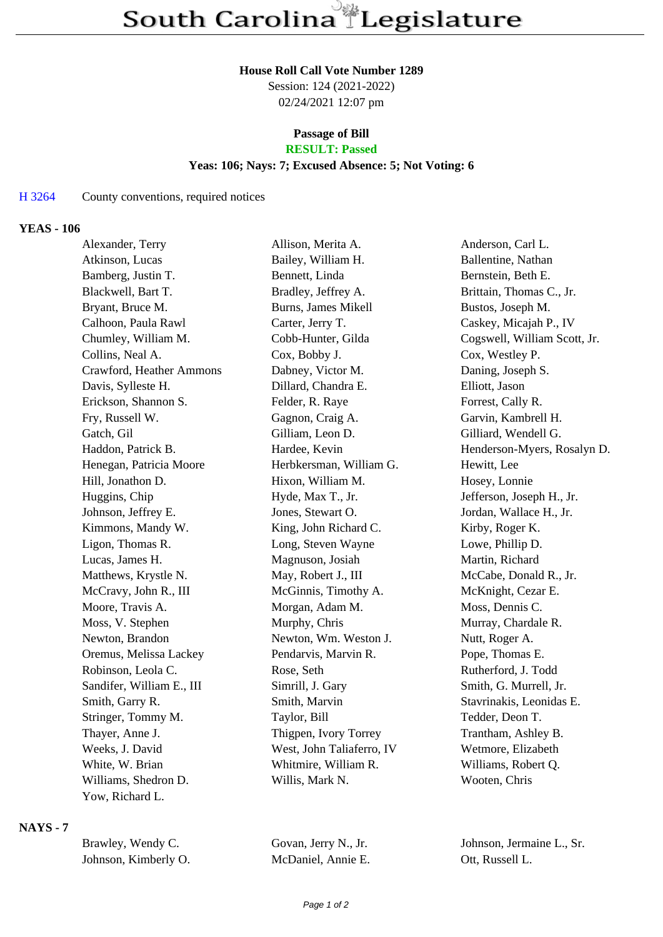#### **House Roll Call Vote Number 1289**

Session: 124 (2021-2022) 02/24/2021 12:07 pm

# **Passage of Bill**

## **RESULT: Passed**

#### **Yeas: 106; Nays: 7; Excused Absence: 5; Not Voting: 6**

#### H 3264 County conventions, required notices

#### **YEAS - 106**

| Alexander, Terry          | Allison, Merita A.        | Anderson, Carl L.            |
|---------------------------|---------------------------|------------------------------|
| Atkinson, Lucas           | Bailey, William H.        | Ballentine, Nathan           |
| Bamberg, Justin T.        | Bennett, Linda            | Bernstein, Beth E.           |
| Blackwell, Bart T.        | Bradley, Jeffrey A.       | Brittain, Thomas C., Jr.     |
| Bryant, Bruce M.          | Burns, James Mikell       | Bustos, Joseph M.            |
| Calhoon, Paula Rawl       | Carter, Jerry T.          | Caskey, Micajah P., IV       |
| Chumley, William M.       | Cobb-Hunter, Gilda        | Cogswell, William Scott, Jr. |
| Collins, Neal A.          | Cox, Bobby J.             | Cox, Westley P.              |
| Crawford, Heather Ammons  | Dabney, Victor M.         | Daning, Joseph S.            |
| Davis, Sylleste H.        | Dillard, Chandra E.       | Elliott, Jason               |
| Erickson, Shannon S.      | Felder, R. Raye           | Forrest, Cally R.            |
| Fry, Russell W.           | Gagnon, Craig A.          | Garvin, Kambrell H.          |
| Gatch, Gil                | Gilliam, Leon D.          | Gilliard, Wendell G.         |
| Haddon, Patrick B.        | Hardee, Kevin             | Henderson-Myers, Rosalyn D.  |
| Henegan, Patricia Moore   | Herbkersman, William G.   | Hewitt, Lee                  |
| Hill, Jonathon D.         | Hixon, William M.         | Hosey, Lonnie                |
| Huggins, Chip             | Hyde, Max T., Jr.         | Jefferson, Joseph H., Jr.    |
| Johnson, Jeffrey E.       | Jones, Stewart O.         | Jordan, Wallace H., Jr.      |
| Kimmons, Mandy W.         | King, John Richard C.     | Kirby, Roger K.              |
| Ligon, Thomas R.          | Long, Steven Wayne        | Lowe, Phillip D.             |
| Lucas, James H.           | Magnuson, Josiah          | Martin, Richard              |
| Matthews, Krystle N.      | May, Robert J., III       | McCabe, Donald R., Jr.       |
| McCravy, John R., III     | McGinnis, Timothy A.      | McKnight, Cezar E.           |
| Moore, Travis A.          | Morgan, Adam M.           | Moss, Dennis C.              |
| Moss, V. Stephen          | Murphy, Chris             | Murray, Chardale R.          |
| Newton, Brandon           | Newton, Wm. Weston J.     | Nutt, Roger A.               |
| Oremus, Melissa Lackey    | Pendarvis, Marvin R.      | Pope, Thomas E.              |
| Robinson, Leola C.        | Rose, Seth                | Rutherford, J. Todd          |
| Sandifer, William E., III | Simrill, J. Gary          | Smith, G. Murrell, Jr.       |
| Smith, Garry R.           | Smith, Marvin             | Stavrinakis, Leonidas E.     |
| Stringer, Tommy M.        | Taylor, Bill              | Tedder, Deon T.              |
| Thayer, Anne J.           | Thigpen, Ivory Torrey     | Trantham, Ashley B.          |
| Weeks, J. David           | West, John Taliaferro, IV | Wetmore, Elizabeth           |
| White, W. Brian           | Whitmire, William R.      | Williams, Robert Q.          |
| Williams, Shedron D.      | Willis, Mark N.           | Wooten, Chris                |
| Yow, Richard L.           |                           |                              |
|                           |                           |                              |

### **NAYS - 7**

| Brawley, Wendy C.    | Govan, Jerry N., Jr. | Johnson, Jermaine L., Sr. |
|----------------------|----------------------|---------------------------|
| Johnson, Kimberly O. | McDaniel, Annie E.   | Ott. Russell L.           |